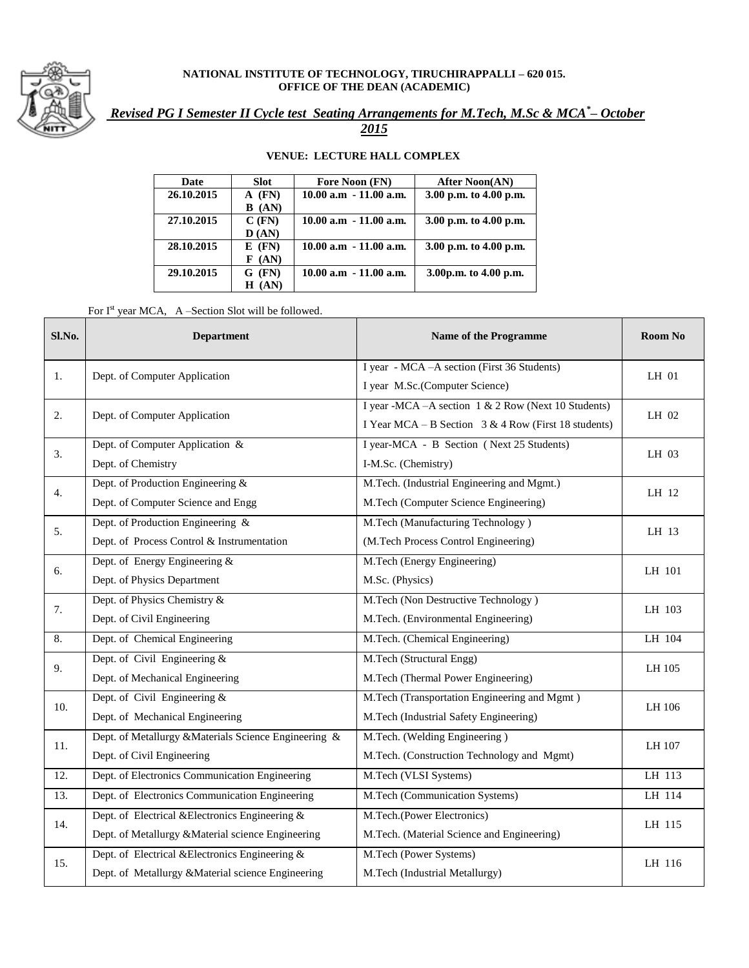

## **NATIONAL INSTITUTE OF TECHNOLOGY, TIRUCHIRAPPALLI – 620 015. OFFICE OF THE DEAN (ACADEMIC)**

## *Revised PG I Semester II Cycle test Seating Arrangements for M.Tech, M.Sc & MCA\* – October*

*2015*

## **VENUE: LECTURE HALL COMPLEX**

| Date       | <b>Slot</b>   | Fore Noon (FN)            | <b>After Noon(AN)</b>  |
|------------|---------------|---------------------------|------------------------|
| 26.10.2015 | $A$ (FN)      | $10.00$ a.m $-11.00$ a.m. | 3.00 p.m. to 4.00 p.m. |
|            | B (AN)        |                           |                        |
| 27.10.2015 | $C$ (FN)      | $10.00$ a.m $-11.00$ a.m. | 3.00 p.m. to 4.00 p.m. |
|            | $\bf{D}$ (AN) |                           |                        |
| 28.10.2015 | $E$ (FN)      | $10.00$ a.m $-11.00$ a.m. | 3.00 p.m. to 4.00 p.m. |
|            | F(AN)         |                           |                        |
| 29.10.2015 | $G$ (FN)      | $10.00$ a.m $-11.00$ a.m. | 3.00p.m. to 4.00 p.m.  |
|            | (AN)<br>Н     |                           |                        |

For  $I<sup>st</sup>$  year MCA, A –Section Slot will be followed.

| Sl.No.            | <b>Department</b>                                     | <b>Name of the Programme</b>                           | Room No |  |
|-------------------|-------------------------------------------------------|--------------------------------------------------------|---------|--|
| 1.                | Dept. of Computer Application                         | I year - MCA - A section (First 36 Students)           |         |  |
|                   |                                                       | I year M.Sc.(Computer Science)                         | LH 01   |  |
| 2.                | Dept. of Computer Application                         | I year -MCA -- A section 1 & 2 Row (Next 10 Students)  | LH 02   |  |
|                   |                                                       | I Year MCA – B Section $3 & 4$ Row (First 18 students) |         |  |
| 3.                | Dept. of Computer Application &                       | I year-MCA - B Section (Next 25 Students)              | LH 03   |  |
|                   | Dept. of Chemistry                                    | I-M.Sc. (Chemistry)                                    |         |  |
| 4.                | Dept. of Production Engineering &                     | M.Tech. (Industrial Engineering and Mgmt.)             | LH 12   |  |
|                   | Dept. of Computer Science and Engg                    | M.Tech (Computer Science Engineering)                  |         |  |
| 5.                | Dept. of Production Engineering &                     | M.Tech (Manufacturing Technology)                      | LH 13   |  |
|                   | Dept. of Process Control & Instrumentation            | (M.Tech Process Control Engineering)                   |         |  |
| 6.                | Dept. of Energy Engineering &                         | M.Tech (Energy Engineering)                            | LH 101  |  |
|                   | Dept. of Physics Department                           | M.Sc. (Physics)                                        |         |  |
| 7.                | Dept. of Physics Chemistry &                          | M.Tech (Non Destructive Technology)                    | LH 103  |  |
|                   | Dept. of Civil Engineering                            | M.Tech. (Environmental Engineering)                    |         |  |
| 8.                | Dept. of Chemical Engineering                         | M.Tech. (Chemical Engineering)                         | LH 104  |  |
| 9.                | Dept. of Civil Engineering $&$                        | M.Tech (Structural Engg)                               | LH 105  |  |
|                   | Dept. of Mechanical Engineering                       | M.Tech (Thermal Power Engineering)                     |         |  |
| 10.               | Dept. of Civil Engineering $&$                        | M.Tech (Transportation Engineering and Mgmt)           |         |  |
|                   | Dept. of Mechanical Engineering                       | M.Tech (Industrial Safety Engineering)                 | LH 106  |  |
| 11.               | Dept. of Metallurgy & Materials Science Engineering & | M.Tech. (Welding Engineering)                          | LH 107  |  |
|                   | Dept. of Civil Engineering                            | M.Tech. (Construction Technology and Mgmt)             |         |  |
| 12.               | Dept. of Electronics Communication Engineering        | M.Tech (VLSI Systems)                                  | LH 113  |  |
| $\overline{13}$ . | Dept. of Electronics Communication Engineering        | M.Tech (Communication Systems)                         | LH 114  |  |
| 14.               | Dept. of Electrical & Electronics Engineering &       | M.Tech.(Power Electronics)                             | LH 115  |  |
|                   | Dept. of Metallurgy & Material science Engineering    | M.Tech. (Material Science and Engineering)             |         |  |
| 15.               | Dept. of Electrical & Electronics Engineering &       | M.Tech (Power Systems)                                 | LH 116  |  |
|                   | Dept. of Metallurgy &Material science Engineering     | M.Tech (Industrial Metallurgy)                         |         |  |